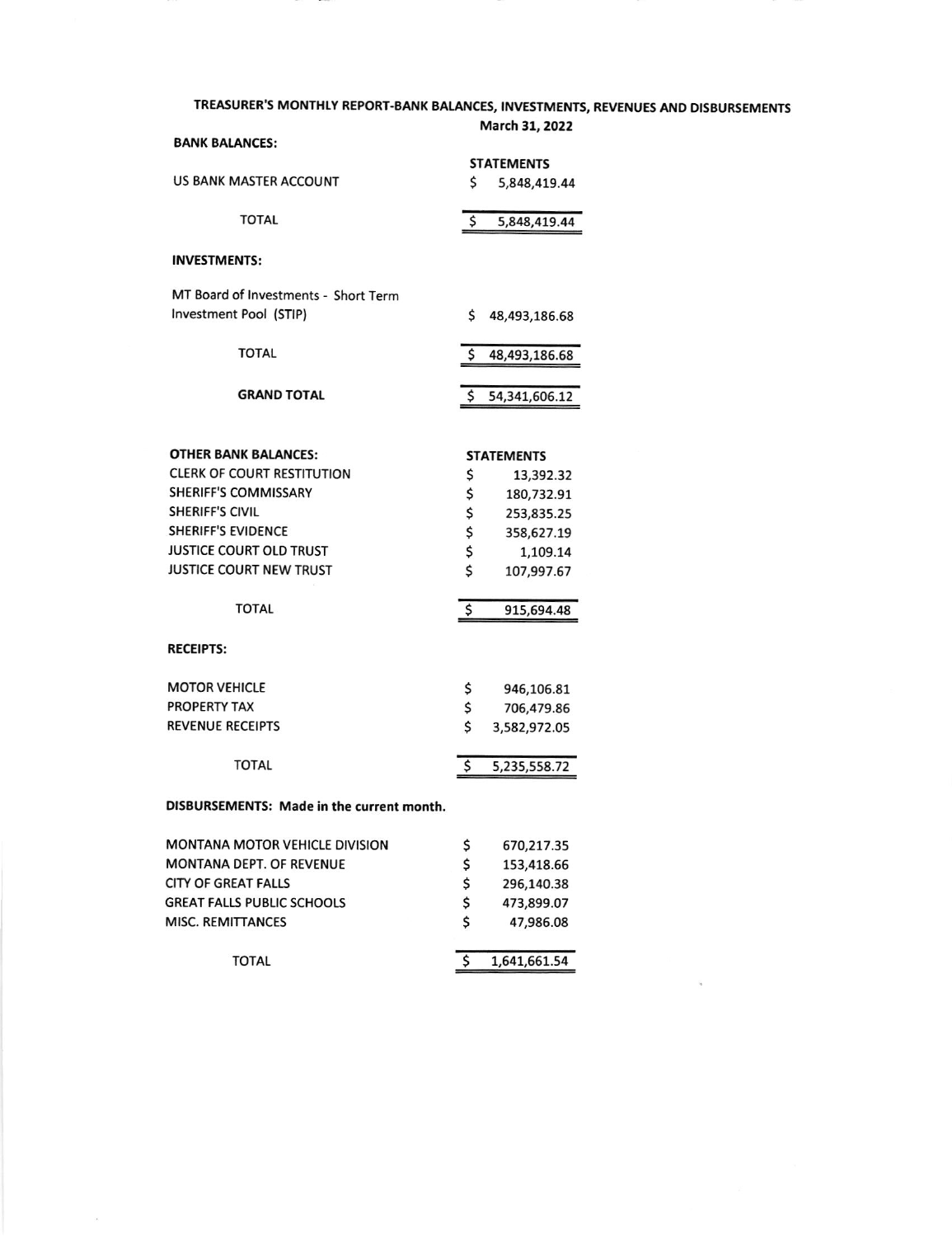### TREASURER'S MONTHLY REPORT-BANK BALANCES, INVESTMENTS, REVENUES AND DISBURSEMENTS

|                                           | March 31, 2022    |               |  |
|-------------------------------------------|-------------------|---------------|--|
| <b>BANK BALANCES:</b>                     | <b>STATEMENTS</b> |               |  |
| <b>US BANK MASTER ACCOUNT</b>             | \$                | 5,848,419.44  |  |
| <b>TOTAL</b>                              | \$                | 5,848,419.44  |  |
| <b>INVESTMENTS:</b>                       |                   |               |  |
| MT Board of Investments - Short Term      |                   |               |  |
| Investment Pool (STIP)                    | \$                | 48,493,186.68 |  |
| <b>TOTAL</b>                              | Ś                 | 48,493,186.68 |  |
| <b>GRAND TOTAL</b>                        | \$                | 54,341,606.12 |  |
|                                           |                   |               |  |
| <b>OTHER BANK BALANCES:</b>               | <b>STATEMENTS</b> |               |  |
| <b>CLERK OF COURT RESTITUTION</b>         | \$                | 13,392.32     |  |
| <b>SHERIFF'S COMMISSARY</b>               | \$                | 180,732.91    |  |
| <b>SHERIFF'S CIVIL</b>                    | \$                | 253,835.25    |  |
| <b>SHERIFF'S EVIDENCE</b>                 | \$                | 358,627.19    |  |
| JUSTICE COURT OLD TRUST                   | \$                | 1,109.14      |  |
| <b>JUSTICE COURT NEW TRUST</b>            | \$                | 107,997.67    |  |
| <b>TOTAL</b>                              | \$                | 915,694.48    |  |
| <b>RECEIPTS:</b>                          |                   |               |  |
| <b>MOTOR VEHICLE</b>                      | \$                | 946,106.81    |  |
| <b>PROPERTY TAX</b>                       | \$                | 706,479.86    |  |
| <b>REVENUE RECEIPTS</b>                   | Ś                 | 3,582,972.05  |  |
| <b>TOTAL</b>                              | \$                | 5,235,558.72  |  |
| DISBURSEMENTS: Made in the current month. |                   |               |  |
| <b>MONTANA MOTOR VEHICLE DIVISION</b>     | \$                | 670,217.35    |  |
|                                           |                   |               |  |

| TOTAL                             |   | 1,641,661.54 |
|-----------------------------------|---|--------------|
| MISC. REMITTANCES                 | Ś | 47,986.08    |
| <b>GREAT FALLS PUBLIC SCHOOLS</b> | Ś | 473,899.07   |
| CITY OF GREAT FALLS               | Ś | 296,140.38   |
| MONTANA DEPT. OF REVENUE          | S | 153,418.66   |
|                                   |   | <u>.</u>     |

 $\bar{\mathcal{R}}$ 

 $\sim$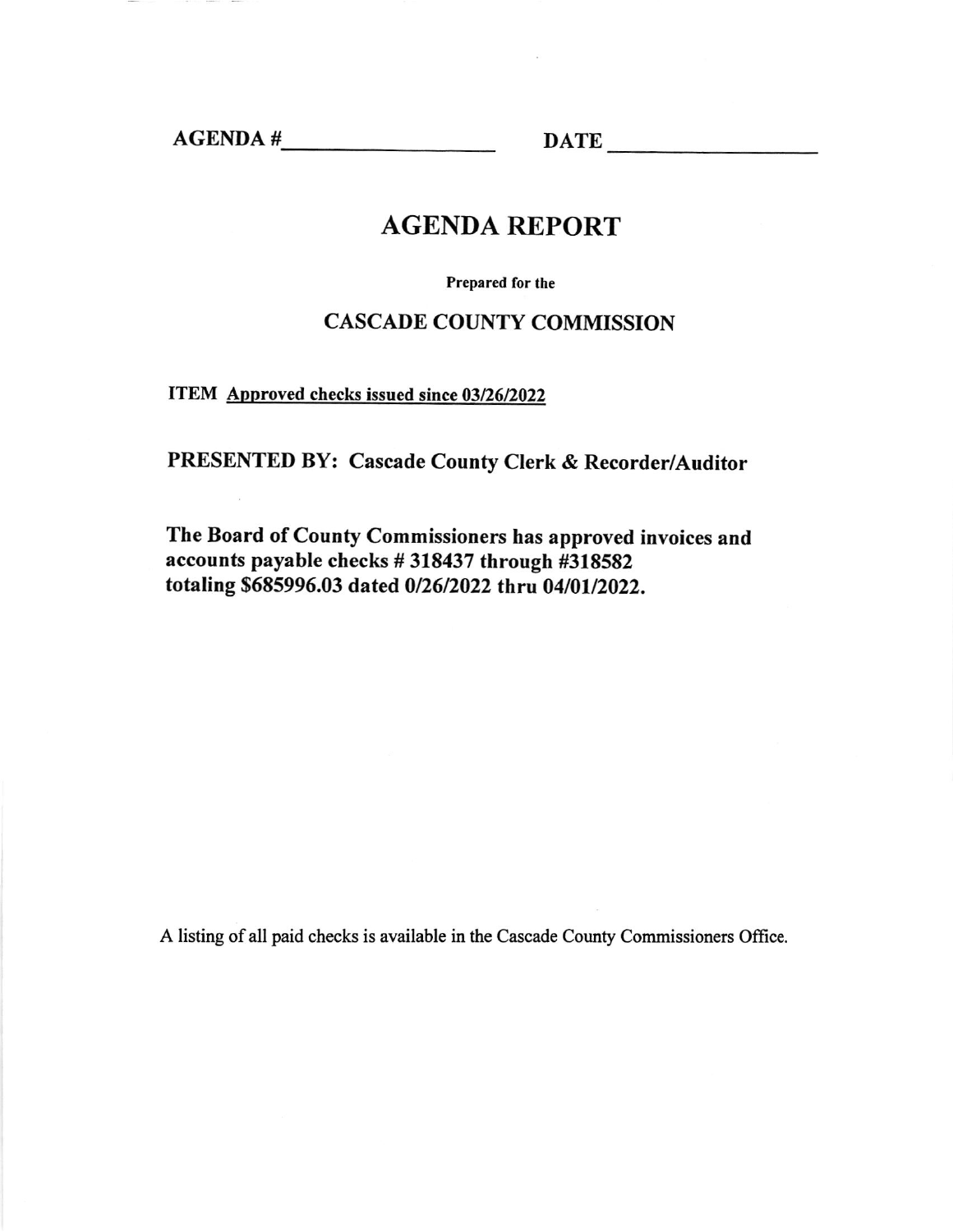AGENDA # DATE

## AGENDA REPORT

Prepared for the

## CASCADE COUNTY COMMISSION

ITEM Approved checks issued since 03/26/2022

PRESENTED BY: Cascade County Clerk & Recorder/Auditor

The Board of County Commissioners has approved invoices and accounts payable checks #318437 through #318582 totaling \$685996.03 dated 0/26/2022 thru 04/01/2022.

A listing of all paid checks is available in the Cascade County Commissioners Oftice.